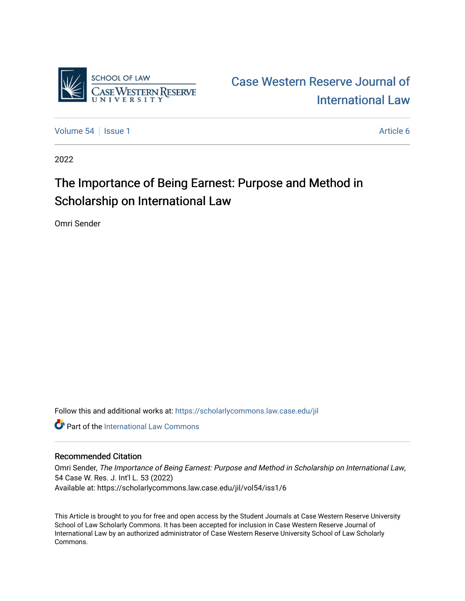

## [Case Western Reserve Journal of](https://scholarlycommons.law.case.edu/jil)  [International Law](https://scholarlycommons.law.case.edu/jil)

[Volume 54](https://scholarlycommons.law.case.edu/jil/vol54) Session 1 Article 6

2022

## The Importance of Being Earnest: Purpose and Method in Scholarship on International Law

Omri Sender

Follow this and additional works at: [https://scholarlycommons.law.case.edu/jil](https://scholarlycommons.law.case.edu/jil?utm_source=scholarlycommons.law.case.edu%2Fjil%2Fvol54%2Fiss1%2F6&utm_medium=PDF&utm_campaign=PDFCoverPages) 

**C** Part of the International Law Commons

#### Recommended Citation

Omri Sender, The Importance of Being Earnest: Purpose and Method in Scholarship on International Law, 54 Case W. Res. J. Int'l L. 53 (2022) Available at: https://scholarlycommons.law.case.edu/jil/vol54/iss1/6

This Article is brought to you for free and open access by the Student Journals at Case Western Reserve University School of Law Scholarly Commons. It has been accepted for inclusion in Case Western Reserve Journal of International Law by an authorized administrator of Case Western Reserve University School of Law Scholarly Commons.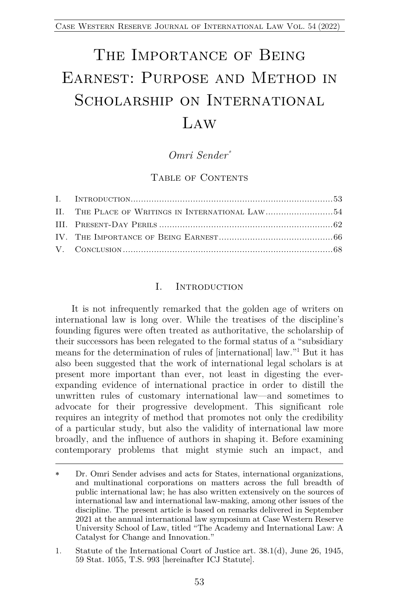# THE IMPORTANCE OF BEING Earnest: Purpose and Method in SCHOLARSHIP ON INTERNATIONAL  $LAW$

### *Omri Sender\**

#### TABLE OF CONTENTS

#### I. Introduction

It is not infrequently remarked that the golden age of writers on international law is long over. While the treatises of the discipline's founding figures were often treated as authoritative, the scholarship of their successors has been relegated to the formal status of a "subsidiary means for the determination of rules of [international] law."1 But it has also been suggested that the work of international legal scholars is at present more important than ever, not least in digesting the everexpanding evidence of international practice in order to distill the unwritten rules of customary international law—and sometimes to advocate for their progressive development. This significant role requires an integrity of method that promotes not only the credibility of a particular study, but also the validity of international law more broadly, and the influence of authors in shaping it. Before examining contemporary problems that might stymie such an impact, and

Dr. Omri Sender advises and acts for States, international organizations, and multinational corporations on matters across the full breadth of public international law; he has also written extensively on the sources of international law and international law-making, among other issues of the discipline. The present article is based on remarks delivered in September 2021 at the annual international law symposium at Case Western Reserve University School of Law, titled "The Academy and International Law: A Catalyst for Change and Innovation."

<sup>1.</sup> Statute of the International Court of Justice art. 38.1(d), June 26, 1945, 59 Stat. 1055, T.S. 993 [hereinafter ICJ Statute].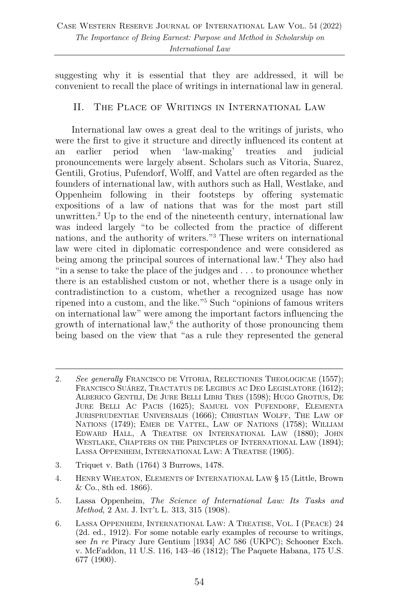suggesting why it is essential that they are addressed, it will be convenient to recall the place of writings in international law in general.

#### II. The Place of Writings in International Law

International law owes a great deal to the writings of jurists, who were the first to give it structure and directly influenced its content at an earlier period when 'law-making' treaties and judicial pronouncements were largely absent. Scholars such as Vitoria, Suarez, Gentili, Grotius, Pufendorf, Wolff, and Vattel are often regarded as the founders of international law, with authors such as Hall, Westlake, and Oppenheim following in their footsteps by offering systematic expositions of a law of nations that was for the most part still unwritten.2 Up to the end of the nineteenth century, international law was indeed largely "to be collected from the practice of different nations, and the authority of writers."3 These writers on international law were cited in diplomatic correspondence and were considered as being among the principal sources of international law. <sup>4</sup> They also had "in a sense to take the place of the judges and . . . to pronounce whether there is an established custom or not, whether there is a usage only in contradistinction to a custom, whether a recognized usage has now ripened into a custom, and the like."5 Such "opinions of famous writers on international law" were among the important factors influencing the growth of international law, $6$  the authority of those pronouncing them being based on the view that "as a rule they represented the general

- 3. Triquet v. Bath (1764) 3 Burrows, 1478.
- 4. HENRY WHEATON, ELEMENTS OF INTERNATIONAL LAW § 15 (Little, Brown & Co., 8th ed. 1866).
- 5. Lassa Oppenheim, *The Science of International Law: Its Tasks and Method*, 2 AM. J. INT'L L. 313, 315 (1908).

<sup>2.</sup> *See generally* FRANCISCO DE VITORIA, RELECTIONES THEOLOGICAE (1557); FRANCISCO SUÁREZ, TRACTATUS DE LEGIBUS AC DEO LEGISLATORE (1612); ALBERICO GENTILI, DE JURE BELLI LIBRI TRES (1598); HUGO GROTIUS, DE JURE BELLI AC PACIS (1625); SAMUEL VON PUFENDORF, ELEMENTA JURISPRUDENTIAE UNIVERSALIS (1666); CHRISTIAN WOLFF, THE LAW OF NATIONS (1749); EMER DE VATTEL, LAW OF NATIONS (1758); WILLIAM EDWARD HALL, A TREATISE ON INTERNATIONAL LAW (1880); JOHN WESTLAKE, CHAPTERS ON THE PRINCIPLES OF INTERNATIONAL LAW (1894); LASSA OPPENHEIM, INTERNATIONAL LAW: A TREATISE (1905).

<sup>6.</sup> LASSA OPPENHEIM, INTERNATIONAL LAW: A TREATISE, VOL. I (PEACE) 24 (2d. ed., 1912). For some notable early examples of recourse to writings, see *In re* Piracy Jure Gentium [1934] AC 586 (UKPC); Schooner Exch. v. McFaddon, 11 U.S. 116, 143–46 (1812); The Paquete Habana, 175 U.S. 677 (1900).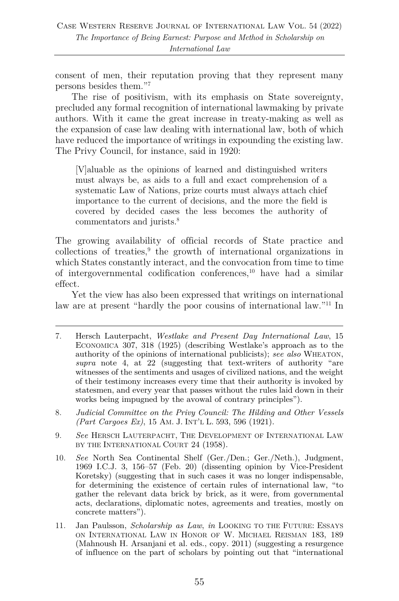consent of men, their reputation proving that they represent many persons besides them."7

The rise of positivism, with its emphasis on State sovereignty, precluded any formal recognition of international lawmaking by private authors. With it came the great increase in treaty-making as well as the expansion of case law dealing with international law, both of which have reduced the importance of writings in expounding the existing law. The Privy Council, for instance, said in 1920:

[V]aluable as the opinions of learned and distinguished writers must always be, as aids to a full and exact comprehension of a systematic Law of Nations, prize courts must always attach chief importance to the current of decisions, and the more the field is covered by decided cases the less becomes the authority of commentators and jurists. 8

The growing availability of official records of State practice and collections of treaties,<sup>9</sup> the growth of international organizations in which States constantly interact, and the convocation from time to time of intergovernmental codification conferences, <sup>10</sup> have had a similar effect.

Yet the view has also been expressed that writings on international law are at present "hardly the poor cousins of international law."11 In

- 7. Hersch Lauterpacht, *Westlake and Present Day International Law*, 15 ECONOMICA 307, 318 (1925) (describing Westlake's approach as to the authority of the opinions of international publicists); *see also* WHEATON, *supra* note 4, at 22 (suggesting that text-writers of authority "are witnesses of the sentiments and usages of civilized nations, and the weight of their testimony increases every time that their authority is invoked by statesmen, and every year that passes without the rules laid down in their works being impugned by the avowal of contrary principles").
- 8. *Judicial Committee on the Privy Council: The Hilding and Other Vessels (Part Cargoes Ex)*, 15 AM. J. INT'L L. 593, 596 (1921).
- 9. *See* HERSCH LAUTERPACHT, THE DEVELOPMENT OF INTERNATIONAL LAW BY THE INTERNATIONAL COURT 24 (1958).
- 10. *See* North Sea Continental Shelf (Ger./Den.; Ger./Neth.), Judgment, 1969 I.C.J. 3, 156–57 (Feb. 20) (dissenting opinion by Vice-President Koretsky) (suggesting that in such cases it was no longer indispensable, for determining the existence of certain rules of international law, "to gather the relevant data brick by brick, as it were, from governmental acts, declarations, diplomatic notes, agreements and treaties, mostly on concrete matters").
- 11. Jan Paulsson, *Scholarship as Law*, *in* LOOKING TO THE FUTURE: ESSAYS ON INTERNATIONAL LAW IN HONOR OF W. MICHAEL REISMAN 183, 189 (Mahnoush H. Arsanjani et al. eds., copy. 2011) (suggesting a resurgence of influence on the part of scholars by pointing out that "international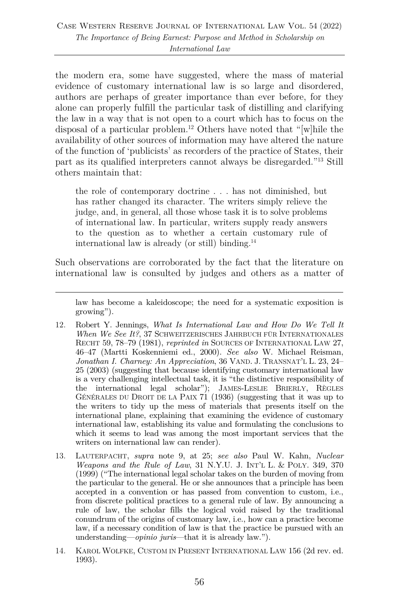the modern era, some have suggested, where the mass of material evidence of customary international law is so large and disordered, authors are perhaps of greater importance than ever before, for they alone can properly fulfill the particular task of distilling and clarifying the law in a way that is not open to a court which has to focus on the disposal of a particular problem.12 Others have noted that "[w]hile the availability of other sources of information may have altered the nature of the function of 'publicists' as recorders of the practice of States, their part as its qualified interpreters cannot always be disregarded."13 Still others maintain that:

the role of contemporary doctrine . . . has not diminished, but has rather changed its character. The writers simply relieve the judge, and, in general, all those whose task it is to solve problems of international law. In particular, writers supply ready answers to the question as to whether a certain customary rule of international law is already (or still) binding. 14

Such observations are corroborated by the fact that the literature on international law is consulted by judges and others as a matter of

law has become a kaleidoscope; the need for a systematic exposition is growing").

- 12. Robert Y. Jennings, *What Is International Law and How Do We Tell It When We See It?*, 37 SCHWEITZERISCHES JAHRBUCH FÜR INTERNATIONALES RECHT 59, 78–79 (1981), *reprinted in* SOURCES OF INTERNATIONAL LAW 27, 46–47 (Martti Koskenniemi ed., 2000). *See also* W. Michael Reisman, *Jonathan I. Charney: An Appreciation*, 36 VAND. J. TRANSNAT'L L. 23, 24– 25 (2003) (suggesting that because identifying customary international law is a very challenging intellectual task, it is "the distinctive responsibility of the international legal scholar"); JAMES-LESLIE BRIERLY, RÈGLES GÉNÉRALES DU DROIT DE LA PAIX 71 (1936) (suggesting that it was up to the writers to tidy up the mess of materials that presents itself on the international plane, explaining that examining the evidence of customary international law, establishing its value and formulating the conclusions to which it seems to lead was among the most important services that the writers on international law can render).
- 13. LAUTERPACHT, *supra* note 9, at 25; *see also* Paul W. Kahn, *Nuclear Weapons and the Rule of Law*, 31 N.Y.U. J. INT'L L. & POLY. 349, 370 (1999) ("The international legal scholar takes on the burden of moving from the particular to the general. He or she announces that a principle has been accepted in a convention or has passed from convention to custom, i.e., from discrete political practices to a general rule of law. By announcing a rule of law, the scholar fills the logical void raised by the traditional conundrum of the origins of customary law, i.e., how can a practice become law, if a necessary condition of law is that the practice be pursued with an understanding—*opinio juris*—that it is already law.").
- 14. KAROL WOLFKE, CUSTOM IN PRESENT INTERNATIONAL LAW 156 (2d rev. ed. 1993).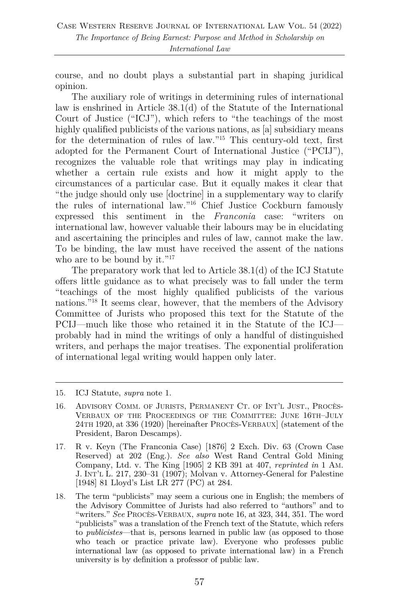course, and no doubt plays a substantial part in shaping juridical opinion.

The auxiliary role of writings in determining rules of international law is enshrined in Article 38.1(d) of the Statute of the International Court of Justice ("ICJ"), which refers to "the teachings of the most highly qualified publicists of the various nations, as [a] subsidiary means for the determination of rules of law."15 This century-old text, first adopted for the Permanent Court of International Justice ("PCIJ"), recognizes the valuable role that writings may play in indicating whether a certain rule exists and how it might apply to the circumstances of a particular case. But it equally makes it clear that "the judge should only use [doctrine] in a supplementary way to clarify the rules of international law."16 Chief Justice Cockburn famously expressed this sentiment in the *Franconia* case: "writers on international law, however valuable their labours may be in elucidating and ascertaining the principles and rules of law, cannot make the law. To be binding, the law must have received the assent of the nations who are to be bound by it."<sup>17</sup>

The preparatory work that led to Article 38.1(d) of the ICJ Statute offers little guidance as to what precisely was to fall under the term "teachings of the most highly qualified publicists of the various nations."18 It seems clear, however, that the members of the Advisory Committee of Jurists who proposed this text for the Statute of the PCIJ—much like those who retained it in the Statute of the ICJ probably had in mind the writings of only a handful of distinguished writers, and perhaps the major treatises. The exponential proliferation of international legal writing would happen only later.

<sup>15.</sup> ICJ Statute, *supra* note 1.

<sup>16.</sup> ADVISORY COMM. OF JURISTS, PERMANENT CT. OF INT'L JUST., PROCÈS-VERBAUX OF THE PROCEEDINGS OF THE COMMITTEE: JUNE 16TH–JULY 24TH 1920, at 336 (1920) [hereinafter PROCÈS-VERBAUX] (statement of the President, Baron Descamps).

<sup>17.</sup> R v. Keyn (The Franconia Case) [1876] 2 Exch. Div. 63 (Crown Case Reserved) at 202 (Eng.). *See also* West Rand Central Gold Mining Company, Ltd. v. The King [1905] 2 KB 391 at 407, *reprinted in* 1 AM. J. INT'L L. 217, 230–31 (1907); Molvan v. Attorney-General for Palestine [1948] 81 Lloyd's List LR 277 (PC) at 284.

<sup>18.</sup> The term "publicists" may seem a curious one in English; the members of the Advisory Committee of Jurists had also referred to "authors" and to "writers." *See* PROCÈS-VERBAUX, *supra* note 16, at 323, 344, 351. The word "publicists" was a translation of the French text of the Statute, which refers to *publicistes*—that is, persons learned in public law (as opposed to those who teach or practice private law). Everyone who professes public international law (as opposed to private international law) in a French university is by definition a professor of public law.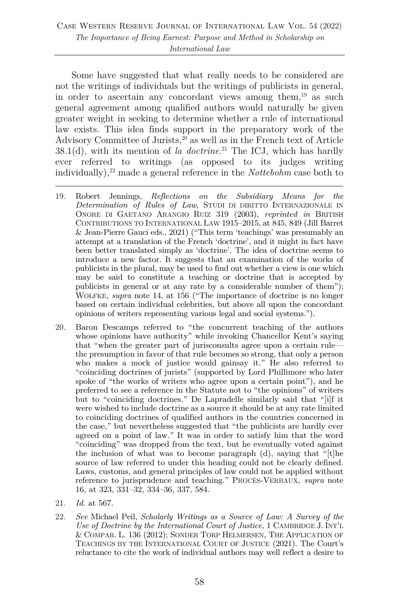Some have suggested that what really needs to be considered are not the writings of individuals but the writings of publicists in general, in order to ascertain any concordant views among them, <sup>19</sup> as such general agreement among qualified authors would naturally be given greater weight in seeking to determine whether a rule of international law exists. This idea finds support in the preparatory work of the Advisory Committee of Jurists, $^{20}$  as well as in the French text of Article 38.1(d), with its mention of *la doctrine*. <sup>21</sup> The ICJ, which has hardly ever referred to writings (as opposed to its judges writing individually), <sup>22</sup> made a general reference in the *Nottebohm* case both to

- 19. Robert Jennings, *Reflections on the Subsidiary Means for the Determination of Rules of Law*, STUDI DI DIRITTO INTERNAZIONALE IN ONORE DI GAETANO ARANGIO RUIZ 319 (2003), *reprinted in* BRITISH CONTRIBUTIONS TO INTERNATIONAL LAW 1915–2015, at 845, 849 (Jill Barret & Jean-Pierre Gauci eds., 2021) ("This term 'teachings' was presumably an attempt at a translation of the French 'doctrine', and it might in fact have been better translated simply as 'doctrine'. The idea of doctrine seems to introduce a new factor. It suggests that an examination of the works of publicists in the plural, may be used to find out whether a view is one which may be said to constitute a teaching or doctrine that is accepted by publicists in general or at any rate by a considerable number of them"); WOLFKE, *supra* note 14, at 156 ("The importance of doctrine is no longer based on certain individual celebrities, but above all upon the concordant opinions of writers representing various legal and social systems.").
- 20. Baron Descamps referred to "the concurrent teaching of the authors whose opinions have authority" while invoking Chancellor Kent's saying that "when the greater part of jurisconsults agree upon a certain rule the presumption in favor of that rule becomes so strong, that only a person who makes a mock of justice would gainsay it." He also referred to "coinciding doctrines of jurists" (supported by Lord Phillimore who later spoke of "the works of writers who agree upon a certain point"), and he preferred to see a reference in the Statute not to "the opinions" of writers but to "coinciding doctrines." De Lapradelle similarly said that "[i]f it were wished to include doctrine as a source it should be at any rate limited to coinciding doctrines of qualified authors in the countries concerned in the case," but nevertheless suggested that "the publicists are hardly ever agreed on a point of law." It was in order to satisfy him that the word "coinciding" was dropped from the text, but he eventually voted against the inclusion of what was to become paragraph (d), saying that "[t]he source of law referred to under this heading could not be clearly defined. Laws, customs, and general principles of law could not be applied without reference to jurisprudence and teaching." PROCÈS-VERBAUX, *supra* note 16, at 323, 331–32, 334–36, 337, 584.
- 21. *Id.* at 567.
- 22. *See* Michael Peil, *Scholarly Writings as a Source of Law: A Survey of the Use of Doctrine by the International Court of Justice*, 1 CAMBRIDGE J. INT'L & COMPAR. L. 136 (2012); SONDER TORP HELMERSEN, THE APPLICATION OF TEACHINGS BY THE INTERNATIONAL COURT OF JUSTICE (2021). The Court's reluctance to cite the work of individual authors may well reflect a desire to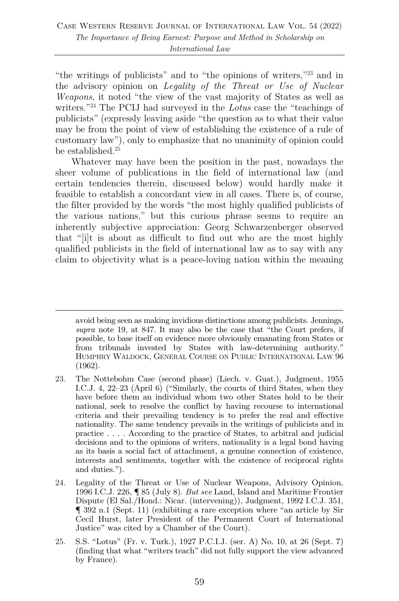"the writings of publicists" and to "the opinions of writers,"23 and in the advisory opinion on *Legality of the Threat or Use of Nuclear Weapons*, it noted "the view of the vast majority of States as well as writers."24 The PCIJ had surveyed in the *Lotus* case the "teachings of publicists" (expressly leaving aside "the question as to what their value may be from the point of view of establishing the existence of a rule of customary law"), only to emphasize that no unanimity of opinion could be established.<sup>25</sup>

Whatever may have been the position in the past, nowadays the sheer volume of publications in the field of international law (and certain tendencies therein, discussed below) would hardly make it feasible to establish a concordant view in all cases. There is, of course, the filter provided by the words "the most highly qualified publicists of the various nations," but this curious phrase seems to require an inherently subjective appreciation: Georg Schwarzenberger observed that "[i]t is about as difficult to find out who are the most highly qualified publicists in the field of international law as to say with any claim to objectivity what is a peace-loving nation within the meaning

avoid being seen as making invidious distinctions among publicists. Jennings, *supra* note 19, at 847. It may also be the case that "the Court prefers, if possible, to base itself on evidence more obviously emanating from States or from tribunals invested by States with law-determining authority." HUMPHRY WALDOCK, GENERAL COURSE ON PUBLIC INTERNATIONAL LAW 96 (1962).

<sup>23.</sup> The Nottebohm Case (second phase) (Liech. v. Guat.), Judgment, 1955 I.C.J. 4, 22–23 (April 6) ("Similarly, the courts of third States, when they have before them an individual whom two other States hold to be their national, seek to resolve the conflict by having recourse to international criteria and their prevailing tendency is to prefer the real and effective nationality. The same tendency prevails in the writings of publicists and in practice . . . . According to the practice of States, to arbitral and judicial decisions and to the opinions of writers, nationality is a legal bond having as its basis a social fact of attachment, a genuine connection of existence, interests and sentiments, together with the existence of reciprocal rights and duties.").

<sup>24.</sup> Legality of the Threat or Use of Nuclear Weapons, Advisory Opinion, 1996 I.C.J. 226, ¶ 85 (July 8). *But see* Land, Island and Maritime Frontier Dispute (El Sal./Hond.: Nicar. (intervening)), Judgment, 1992 I.C.J. 351, ¶ 392 n.1 (Sept. 11) (exhibiting a rare exception where "an article by Sir Cecil Hurst, later President of the Permanent Court of International Justice" was cited by a Chamber of the Court).

<sup>25.</sup> S.S. "Lotus" (Fr. v. Turk.), 1927 P.C.I.J. (ser. A) No. 10, at 26 (Sept. 7) (finding that what "writers teach" did not fully support the view advanced by France).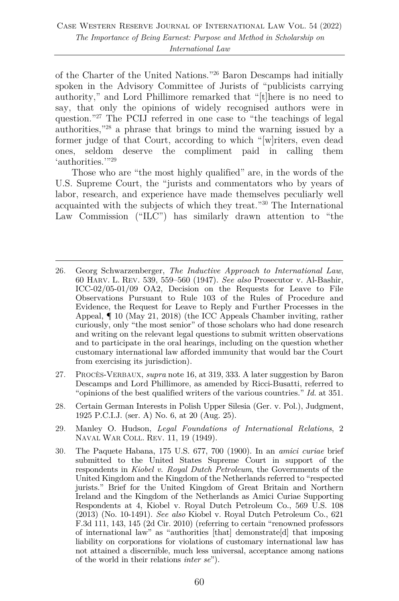of the Charter of the United Nations."26 Baron Descamps had initially spoken in the Advisory Committee of Jurists of "publicists carrying authority," and Lord Phillimore remarked that "[t]here is no need to say, that only the opinions of widely recognised authors were in question."27 The PCIJ referred in one case to "the teachings of legal authorities,"28 a phrase that brings to mind the warning issued by a former judge of that Court, according to which "[w]riters, even dead ones, seldom deserve the compliment paid in calling them 'authorities.'"<sup>29</sup>

Those who are "the most highly qualified" are, in the words of the U.S. Supreme Court, the "jurists and commentators who by years of labor, research, and experience have made themselves peculiarly well acquainted with the subjects of which they treat."30 The International Law Commission ("ILC") has similarly drawn attention to "the

- 26. Georg Schwarzenberger, *The Inductive Approach to International Law*, 60 HARV. L. REV. 539, 559–560 (1947). *See also* Prosecutor v. Al-Bashir, ICC-02/05-01/09 OA2, Decision on the Requests for Leave to File Observations Pursuant to Rule 103 of the Rules of Procedure and Evidence, the Request for Leave to Reply and Further Processes in the Appeal, ¶ 10 (May 21, 2018) (the ICC Appeals Chamber inviting, rather curiously, only "the most senior" of those scholars who had done research and writing on the relevant legal questions to submit written observations and to participate in the oral hearings, including on the question whether customary international law afforded immunity that would bar the Court from exercising its jurisdiction).
- 27. PROCÈS-VERBAUX, *supra* note 16, at 319, 333. A later suggestion by Baron Descamps and Lord Phillimore, as amended by Ricci-Busatti, referred to "opinions of the best qualified writers of the various countries." *Id.* at 351.
- 28. Certain German Interests in Polish Upper Silesia (Ger. v. Pol.), Judgment, 1925 P.C.I.J. (ser. A) No. 6, at 20 (Aug. 25).
- 29. Manley O. Hudson, *Legal Foundations of International Relations*, 2 NAVAL WAR COLL. REV. 11, 19 (1949).
- 30. The Paquete Habana, 175 U.S. 677, 700 (1900). In an *amici curiae* brief submitted to the United States Supreme Court in support of the respondents in *Kiobel v. Royal Dutch Petroleum*, the Governments of the United Kingdom and the Kingdom of the Netherlands referred to "respected jurists." Brief for the United Kingdom of Great Britain and Northern Ireland and the Kingdom of the Netherlands as Amici Curiae Supporting Respondents at 4, Kiobel v. Royal Dutch Petroleum Co., 569 U.S. 108 (2013) (No. 10-1491). *See also* Kiobel v. Royal Dutch Petroleum Co., 621 F.3d 111, 143, 145 (2d Cir. 2010) (referring to certain "renowned professors of international law" as "authorities [that] demonstrate[d] that imposing liability on corporations for violations of customary international law has not attained a discernible, much less universal, acceptance among nations of the world in their relations *inter se*").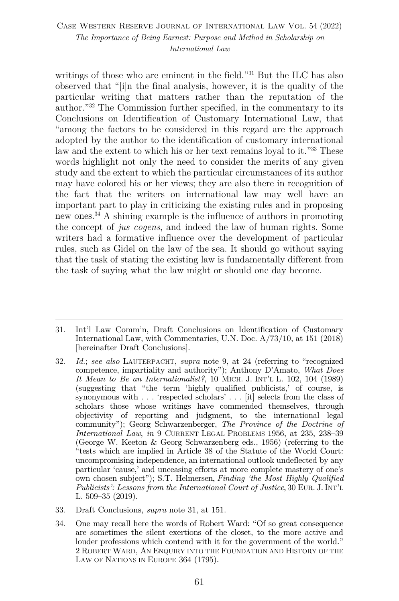#### Case Western Reserve Journal of International Law Vol. 54 (2022) *The Importance of Being Earnest: Purpose and Method in Scholarship on International Law*

writings of those who are eminent in the field."<sup>31</sup> But the ILC has also observed that "[i]n the final analysis, however, it is the quality of the particular writing that matters rather than the reputation of the author."32 The Commission further specified, in the commentary to its Conclusions on Identification of Customary International Law, that "among the factors to be considered in this regard are the approach adopted by the author to the identification of customary international law and the extent to which his or her text remains loyal to it."<sup>33</sup> These words highlight not only the need to consider the merits of any given study and the extent to which the particular circumstances of its author may have colored his or her views; they are also there in recognition of the fact that the writers on international law may well have an important part to play in criticizing the existing rules and in proposing new ones.34 A shining example is the influence of authors in promoting the concept of *jus cogens*, and indeed the law of human rights. Some writers had a formative influence over the development of particular rules, such as Gidel on the law of the sea. It should go without saying that the task of stating the existing law is fundamentally different from the task of saying what the law might or should one day become.

34. One may recall here the words of Robert Ward: "Of so great consequence are sometimes the silent exertions of the closet, to the more active and louder professions which contend with it for the government of the world." 2 ROBERT WARD, AN ENQUIRY INTO THE FOUNDATION AND HISTORY OF THE LAW OF NATIONS IN EUROPE 364 (1795).

<sup>31.</sup> Int'l Law Comm'n, Draft Conclusions on Identification of Customary International Law, with Commentaries, U.N. Doc. A/73/10, at 151 (2018) [hereinafter Draft Conclusions].

<sup>32.</sup> *Id.*; *see also* LAUTERPACHT, *supra* note 9, at 24 (referring to "recognized competence, impartiality and authority"); Anthony D'Amato, *What Does It Mean to Be an Internationalist?*, 10 MICH. J. INT'L L. 102, 104 (1989) (suggesting that "the term 'highly qualified publicists,' of course, is synonymous with . . . 'respected scholars' . . . [it] selects from the class of scholars those whose writings have commended themselves, through objectivity of reporting and judgment, to the international legal community"); Georg Schwarzenberger, *The Province of the Doctrine of International Law*, *in* 9 CURRENT LEGAL PROBLEMS 1956, at 235, 238–39 (George W. Keeton & Georg Schwarzenberg eds., 1956) (referring to the "tests which are implied in Article 38 of the Statute of the World Court: uncompromising independence, an international outlook undeflected by any particular 'cause,' and unceasing efforts at more complete mastery of one's own chosen subject"); S.T. Helmersen, *Finding 'the Most Highly Qualified Publicists': Lessons from the International Court of Justice*, 30 EUR. J. INT'L L. 509–35 (2019).

<sup>33.</sup> Draft Conclusions, *supra* note 31, at 151.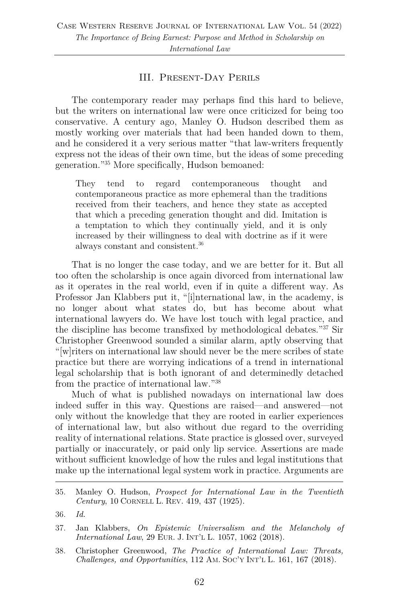#### III. Present-Day Perils

The contemporary reader may perhaps find this hard to believe, but the writers on international law were once criticized for being too conservative. A century ago, Manley O. Hudson described them as mostly working over materials that had been handed down to them, and he considered it a very serious matter "that law-writers frequently express not the ideas of their own time, but the ideas of some preceding generation."35 More specifically, Hudson bemoaned:

They tend to regard contemporaneous thought and contemporaneous practice as more ephemeral than the traditions received from their teachers, and hence they state as accepted that which a preceding generation thought and did. Imitation is a temptation to which they continually yield, and it is only increased by their willingness to deal with doctrine as if it were always constant and consistent.36

That is no longer the case today, and we are better for it. But all too often the scholarship is once again divorced from international law as it operates in the real world, even if in quite a different way. As Professor Jan Klabbers put it, "[i]nternational law, in the academy, is no longer about what states do, but has become about what international lawyers do. We have lost touch with legal practice, and the discipline has become transfixed by methodological debates."37 Sir Christopher Greenwood sounded a similar alarm, aptly observing that "[w]riters on international law should never be the mere scribes of state practice but there are worrying indications of a trend in international legal scholarship that is both ignorant of and determinedly detached from the practice of international law."38

Much of what is published nowadays on international law does indeed suffer in this way. Questions are raised—and answered—not only without the knowledge that they are rooted in earlier experiences of international law, but also without due regard to the overriding reality of international relations. State practice is glossed over, surveyed partially or inaccurately, or paid only lip service. Assertions are made without sufficient knowledge of how the rules and legal institutions that make up the international legal system work in practice. Arguments are

38. Christopher Greenwood, *The Practice of International Law: Threats, Challenges, and Opportunities*, 112 AM. SOC'Y INT'L L. 161, 167 (2018).

<sup>35.</sup> Manley O. Hudson, *Prospect for International Law in the Twentieth Century*, 10 CORNELL L. REV. 419, 437 (1925).

<sup>36.</sup> *Id.*

<sup>37.</sup> Jan Klabbers, *On Epistemic Universalism and the Melancholy of International Law*, 29 EUR. J. INT'L L. 1057, 1062 (2018).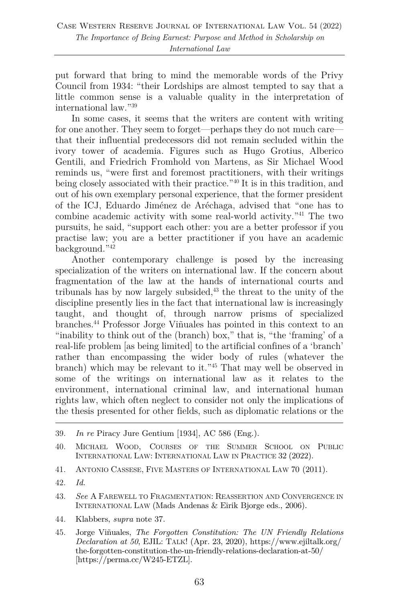put forward that bring to mind the memorable words of the Privy Council from 1934: "their Lordships are almost tempted to say that a little common sense is a valuable quality in the interpretation of international law."39

In some cases, it seems that the writers are content with writing for one another. They seem to forget—perhaps they do not much care that their influential predecessors did not remain secluded within the ivory tower of academia. Figures such as Hugo Grotius, Alberico Gentili, and Friedrich Fromhold von Martens, as Sir Michael Wood reminds us, "were first and foremost practitioners, with their writings being closely associated with their practice."<sup>40</sup> It is in this tradition, and out of his own exemplary personal experience, that the former president of the ICJ, Eduardo Jiménez de Aréchaga, advised that "one has to combine academic activity with some real-world activity."41 The two pursuits, he said, "support each other: you are a better professor if you practise law; you are a better practitioner if you have an academic background."42

Another contemporary challenge is posed by the increasing specialization of the writers on international law. If the concern about fragmentation of the law at the hands of international courts and tribunals has by now largely subsided, $43$  the threat to the unity of the discipline presently lies in the fact that international law is increasingly taught, and thought of, through narrow prisms of specialized branches.44 Professor Jorge Viñuales has pointed in this context to an "inability to think out of the (branch) box," that is, "the 'framing' of a real-life problem [as being limited] to the artificial confines of a 'branch' rather than encompassing the wider body of rules (whatever the branch) which may be relevant to it."45 That may well be observed in some of the writings on international law as it relates to the environment, international criminal law, and international human rights law, which often neglect to consider not only the implications of the thesis presented for other fields, such as diplomatic relations or the

- 41. ANTONIO CASSESE, FIVE MASTERS OF INTERNATIONAL LAW 70 (2011).
- 42. *Id.*
- 43. *See* A FAREWELL TO FRAGMENTATION: REASSERTION AND CONVERGENCE IN INTERNATIONAL LAW (Mads Andenas & Eirik Bjorge eds., 2006).
- 44. Klabbers, *supra* note 37.
- 45. Jorge Viñuales, *The Forgotten Constitution: The UN Friendly Relations Declaration at 50*, EJIL: TALK! (Apr. 23, 2020), https://www.ejiltalk.org/ the-forgotten-constitution-the-un-friendly-relations-declaration-at-50/ [https://perma.cc/W245-ETZL].

<sup>39.</sup> *In re* Piracy Jure Gentium [1934], AC 586 (Eng.).

<sup>40.</sup> MICHAEL WOOD, COURSES OF THE SUMMER SCHOOL ON PUBLIC INTERNATIONAL LAW: INTERNATIONAL LAW IN PRACTICE 32 (2022).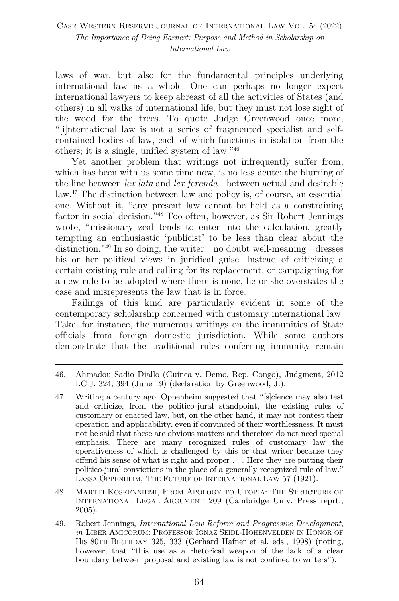laws of war, but also for the fundamental principles underlying international law as a whole. One can perhaps no longer expect international lawyers to keep abreast of all the activities of States (and others) in all walks of international life; but they must not lose sight of the wood for the trees. To quote Judge Greenwood once more, "[i]nternational law is not a series of fragmented specialist and selfcontained bodies of law, each of which functions in isolation from the others; it is a single, unified system of law."46

Yet another problem that writings not infrequently suffer from, which has been with us some time now, is no less acute: the blurring of the line between *lex lata* and *lex ferenda*—between actual and desirable law. <sup>47</sup> The distinction between law and policy is, of course, an essential one. Without it, "any present law cannot be held as a constraining factor in social decision."48 Too often, however, as Sir Robert Jennings wrote, "missionary zeal tends to enter into the calculation, greatly tempting an enthusiastic 'publicist' to be less than clear about the distinction."49 In so doing, the writer—no doubt well-meaning—dresses his or her political views in juridical guise. Instead of criticizing a certain existing rule and calling for its replacement, or campaigning for a new rule to be adopted where there is none, he or she overstates the case and misrepresents the law that is in force.

Failings of this kind are particularly evident in some of the contemporary scholarship concerned with customary international law. Take, for instance, the numerous writings on the immunities of State officials from foreign domestic jurisdiction. While some authors demonstrate that the traditional rules conferring immunity remain

- 47. Writing a century ago, Oppenheim suggested that "[s]cience may also test and criticize, from the politico-jural standpoint, the existing rules of customary or enacted law, but, on the other hand, it may not contest their operation and applicability, even if convinced of their worthlessness. It must not be said that these are obvious matters and therefore do not need special emphasis. There are many recognized rules of customary law the operativeness of which is challenged by this or that writer because they offend his sense of what is right and proper . . . Here they are putting their politico-jural convictions in the place of a generally recognized rule of law." LASSA OPPENHEIM, THE FUTURE OF INTERNATIONAL LAW 57 (1921).
- 48. MARTTI KOSKENNIEMI, FROM APOLOGY TO UTOPIA: THE STRUCTURE OF INTERNATIONAL LEGAL ARGUMENT 209 (Cambridge Univ. Press reprt., 2005).
- 49. Robert Jennings, *International Law Reform and Progressive Development*, *in* LIBER AMICORUM: PROFESSOR IGNAZ SEIDL-HOHENVELDEN IN HONOR OF HIS 80TH BIRTHDAY 325, 333 (Gerhard Hafner et al. eds., 1998) (noting, however, that "this use as a rhetorical weapon of the lack of a clear boundary between proposal and existing law is not confined to writers").

<sup>46.</sup> Ahmadou Sadio Diallo (Guinea v. Demo. Rep. Congo), Judgment, 2012 I.C.J. 324, 394 (June 19) (declaration by Greenwood, J.).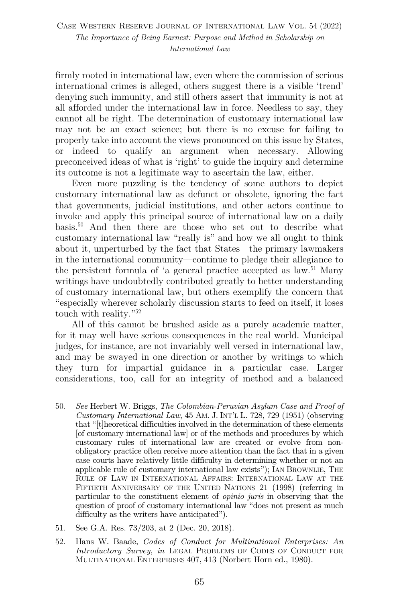firmly rooted in international law, even where the commission of serious international crimes is alleged, others suggest there is a visible 'trend' denying such immunity, and still others assert that immunity is not at all afforded under the international law in force. Needless to say, they cannot all be right. The determination of customary international law may not be an exact science; but there is no excuse for failing to properly take into account the views pronounced on this issue by States, or indeed to qualify an argument when necessary. Allowing preconceived ideas of what is 'right' to guide the inquiry and determine its outcome is not a legitimate way to ascertain the law, either.

Even more puzzling is the tendency of some authors to depict customary international law as defunct or obsolete, ignoring the fact that governments, judicial institutions, and other actors continue to invoke and apply this principal source of international law on a daily basis.50 And then there are those who set out to describe what customary international law "really is" and how we all ought to think about it, unperturbed by the fact that States—the primary lawmakers in the international community—continue to pledge their allegiance to the persistent formula of 'a general practice accepted as law. <sup>51</sup> Many writings have undoubtedly contributed greatly to better understanding of customary international law, but others exemplify the concern that "especially wherever scholarly discussion starts to feed on itself, it loses touch with reality."52

All of this cannot be brushed aside as a purely academic matter, for it may well have serious consequences in the real world. Municipal judges, for instance, are not invariably well versed in international law, and may be swayed in one direction or another by writings to which they turn for impartial guidance in a particular case. Larger considerations, too, call for an integrity of method and a balanced

- 51. See G.A. Res. 73/203, at 2 (Dec. 20, 2018).
- 52. Hans W. Baade, *Codes of Conduct for Multinational Enterprises: An Introductory Survey*, *in* LEGAL PROBLEMS OF CODES OF CONDUCT FOR MULTINATIONAL ENTERPRISES 407, 413 (Norbert Horn ed., 1980).

<sup>50.</sup> *See* Herbert W. Briggs, *The Colombian-Peruvian Asylum Case and Proof of Customary International Law*, 45 AM. J. INT'L L. 728, 729 (1951) (observing that "[t]heoretical difficulties involved in the determination of these elements [of customary international law] or of the methods and procedures by which customary rules of international law are created or evolve from nonobligatory practice often receive more attention than the fact that in a given case courts have relatively little difficulty in determining whether or not an applicable rule of customary international law exists"); IAN BROWNLIE, THE RULE OF LAW IN INTERNATIONAL AFFAIRS: INTERNATIONAL LAW AT THE FIFTIETH ANNIVERSARY OF THE UNITED NATIONS 21 (1998) (referring in particular to the constituent element of *opinio juris* in observing that the question of proof of customary international law "does not present as much difficulty as the writers have anticipated").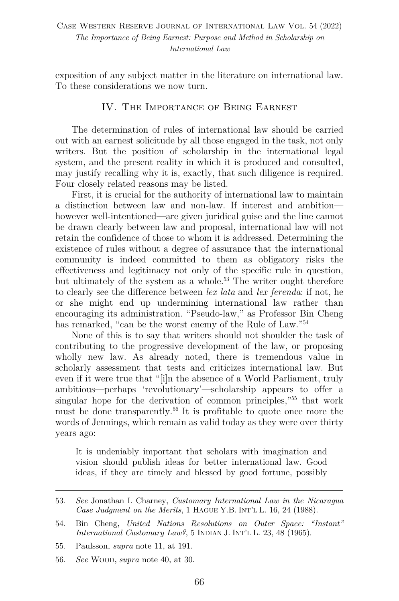exposition of any subject matter in the literature on international law. To these considerations we now turn.

#### IV. The Importance of Being Earnest

The determination of rules of international law should be carried out with an earnest solicitude by all those engaged in the task, not only writers. But the position of scholarship in the international legal system, and the present reality in which it is produced and consulted, may justify recalling why it is, exactly, that such diligence is required. Four closely related reasons may be listed.

First, it is crucial for the authority of international law to maintain a distinction between law and non-law. If interest and ambition however well-intentioned—are given juridical guise and the line cannot be drawn clearly between law and proposal, international law will not retain the confidence of those to whom it is addressed. Determining the existence of rules without a degree of assurance that the international community is indeed committed to them as obligatory risks the effectiveness and legitimacy not only of the specific rule in question, but ultimately of the system as a whole.<sup>53</sup> The writer ought therefore to clearly see the difference between *lex lata* and *lex ferenda*: if not, he or she might end up undermining international law rather than encouraging its administration. "Pseudo-law," as Professor Bin Cheng has remarked, "can be the worst enemy of the Rule of Law."<sup>54</sup>

None of this is to say that writers should not shoulder the task of contributing to the progressive development of the law, or proposing wholly new law. As already noted, there is tremendous value in scholarly assessment that tests and criticizes international law. But even if it were true that "[i]n the absence of a World Parliament, truly ambitious—perhaps 'revolutionary'—scholarship appears to offer a singular hope for the derivation of common principles,"55 that work must be done transparently.<sup>56</sup> It is profitable to quote once more the words of Jennings, which remain as valid today as they were over thirty years ago:

It is undeniably important that scholars with imagination and vision should publish ideas for better international law. Good ideas, if they are timely and blessed by good fortune, possibly

<sup>53.</sup> *See* Jonathan I. Charney, *Customary International Law in the Nicaragua Case Judgment on the Merits*, 1 HAGUE Y.B. INT'L L. 16, 24 (1988).

<sup>54.</sup> Bin Cheng, *United Nations Resolutions on Outer Space: "Instant" International Customary Law?*, 5 INDIAN J. INT'L L. 23, 48 (1965).

<sup>55.</sup> Paulsson, *supra* note 11, at 191.

<sup>56.</sup> *See* WOOD, *supra* note 40, at 30.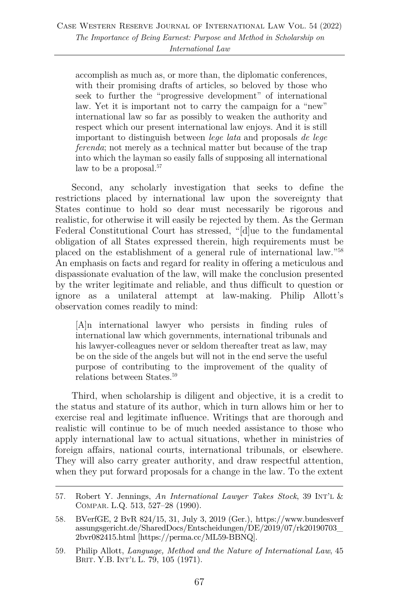accomplish as much as, or more than, the diplomatic conferences, with their promising drafts of articles, so beloved by those who seek to further the "progressive development" of international law. Yet it is important not to carry the campaign for a "new" international law so far as possibly to weaken the authority and respect which our present international law enjoys. And it is still important to distinguish between *lege lata* and proposals *de lege ferenda*; not merely as a technical matter but because of the trap into which the layman so easily falls of supposing all international law to be a proposal.<sup>57</sup>

Second, any scholarly investigation that seeks to define the restrictions placed by international law upon the sovereignty that States continue to hold so dear must necessarily be rigorous and realistic, for otherwise it will easily be rejected by them. As the German Federal Constitutional Court has stressed, "[d]ue to the fundamental obligation of all States expressed therein, high requirements must be placed on the establishment of a general rule of international law."58 An emphasis on facts and regard for reality in offering a meticulous and dispassionate evaluation of the law, will make the conclusion presented by the writer legitimate and reliable, and thus difficult to question or ignore as a unilateral attempt at law-making. Philip Allott's observation comes readily to mind:

[A]n international lawyer who persists in finding rules of international law which governments, international tribunals and his lawyer-colleagues never or seldom thereafter treat as law, may be on the side of the angels but will not in the end serve the useful purpose of contributing to the improvement of the quality of relations between States.<sup>59</sup>

Third, when scholarship is diligent and objective, it is a credit to the status and stature of its author, which in turn allows him or her to exercise real and legitimate influence. Writings that are thorough and realistic will continue to be of much needed assistance to those who apply international law to actual situations, whether in ministries of foreign affairs, national courts, international tribunals, or elsewhere. They will also carry greater authority, and draw respectful attention, when they put forward proposals for a change in the law. To the extent

<sup>57.</sup> Robert Y. Jennings, *An International Lawyer Takes Stock*, 39 INT'L & COMPAR. L.Q. 513, 527–28 (1990).

<sup>58.</sup> BVerfGE, 2 BvR 824/15, 31, July 3, 2019 (Ger.), https://www.bundesverf assungsgericht.de/SharedDocs/Entscheidungen/DE/2019/07/rk20190703\_ 2bvr082415.html [https://perma.cc/ML59-BBNQ].

<sup>59.</sup> Philip Allott, *Language, Method and the Nature of International Law*, 45 BRIT. Y.B. INT'L L. 79, 105 (1971).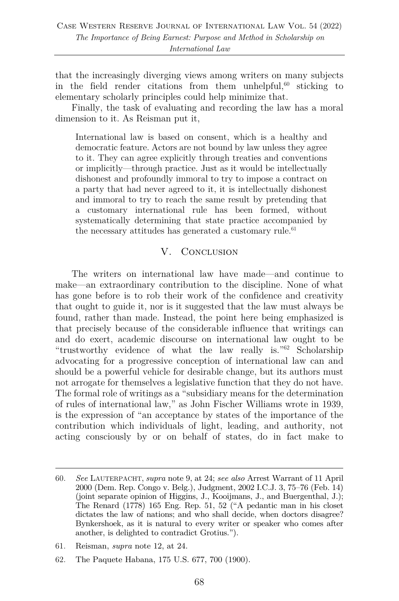that the increasingly diverging views among writers on many subjects in the field render citations from them unhelpful, <sup>60</sup> sticking to elementary scholarly principles could help minimize that.

Finally, the task of evaluating and recording the law has a moral dimension to it. As Reisman put it,

International law is based on consent, which is a healthy and democratic feature. Actors are not bound by law unless they agree to it. They can agree explicitly through treaties and conventions or implicitly—through practice. Just as it would be intellectually dishonest and profoundly immoral to try to impose a contract on a party that had never agreed to it, it is intellectually dishonest and immoral to try to reach the same result by pretending that a customary international rule has been formed, without systematically determining that state practice accompanied by the necessary attitudes has generated a customary rule.<sup>61</sup>

#### V. Conclusion

The writers on international law have made—and continue to make—an extraordinary contribution to the discipline. None of what has gone before is to rob their work of the confidence and creativity that ought to guide it, nor is it suggested that the law must always be found, rather than made. Instead, the point here being emphasized is that precisely because of the considerable influence that writings can and do exert, academic discourse on international law ought to be "trustworthy evidence of what the law really is."62 Scholarship advocating for a progressive conception of international law can and should be a powerful vehicle for desirable change, but its authors must not arrogate for themselves a legislative function that they do not have. The formal role of writings as a "subsidiary means for the determination of rules of international law," as John Fischer Williams wrote in 1939, is the expression of "an acceptance by states of the importance of the contribution which individuals of light, leading, and authority, not acting consciously by or on behalf of states, do in fact make to

61. Reisman, *supra* note 12, at 24.

<sup>60.</sup> *See* LAUTERPACHT, *supra* note 9, at 24; *see also* Arrest Warrant of 11 April 2000 (Dem. Rep. Congo v. Belg.), Judgment, 2002 I.C.J. 3, 75–76 (Feb. 14) (joint separate opinion of Higgins, J., Kooijmans, J., and Buergenthal, J.); The Renard (1778) 165 Eng. Rep. 51, 52 ("A pedantic man in his closet dictates the law of nations; and who shall decide, when doctors disagree? Bynkershoek, as it is natural to every writer or speaker who comes after another, is delighted to contradict Grotius.").

<sup>62.</sup> The Paquete Habana, 175 U.S. 677, 700 (1900).